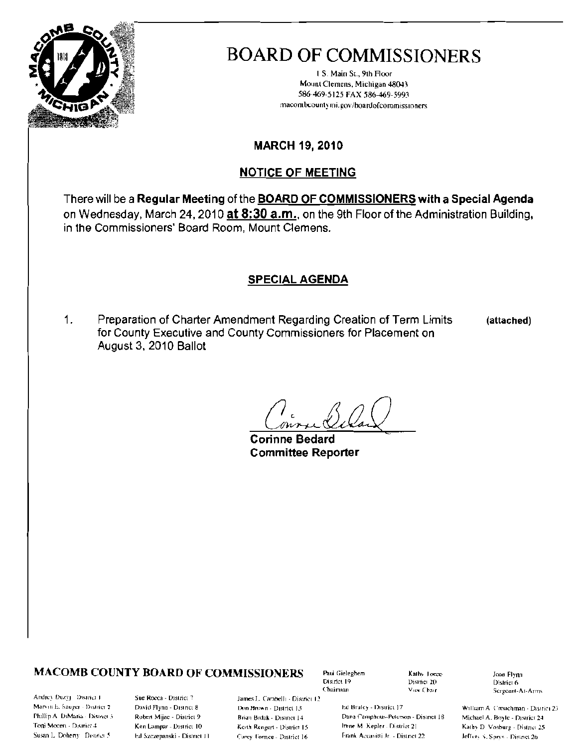

# **BOARD OF COMMISSIONERS**

1.S. Main St., 9th Floor Mount Clemens, Michigan 48043 586-469-5125 FAX 586-469-5993 macombcountymi.gov/boardofcommissioners

### **MARCH 19, 2010**

## **NOTICE OF MEETING**

There will be a Regular Meeting of the BOARD OF COMMISSIONERS with a Special Agenda on Wednesday, March 24, 2010 at 8:30 a.m., on the 9th Floor of the Administration Building, in the Commissioners' Board Room, Mount Clemens.

### **SPECIAL AGENDA**

 $1<sub>1</sub>$ Preparation of Charter Amendment Regarding Creation of Term Limits for County Executive and County Commissioners for Placement on August 3, 2010 Ballot

(attached)

**Corinne Bedard Committee Reporter** 

#### **MACOMB COUNTY BOARD OF COMMISSIONERS**

Andrey Duzyj (District 1) Marvin E. Sauger - District 7 Phillip A. DiMaria - District 5 Toni Mocen - District 4 Susan L. Doheny District 5

Sue Rocca - District 7 David Flynn - District 8 Robert Mijac - District 9 Ken Lampar - District 10 Ed Szczepanski - District 11

James J., Cambelli - District 12 Don Brown - District 13 Brian Brdak - District 14 Koth Rengert - District 15 Carey Tornee - District 16

Paul Gieleghem District 19 Chairman

Kathy Torze District 20 Vice Chair

Ed Bruley - District 17 Dana Camphous-Peterson - District 18 Imme M. Kepler - District 21. Frank Accavitti Jr. - District 22

Joan Flynn District 6 Sergeant-At-Arms

William A. Crouchman - District 25 Michael A. Boyle - District 24 Kaiby D. Vosburg - District 25 Jeffery S. Sprys - District 26